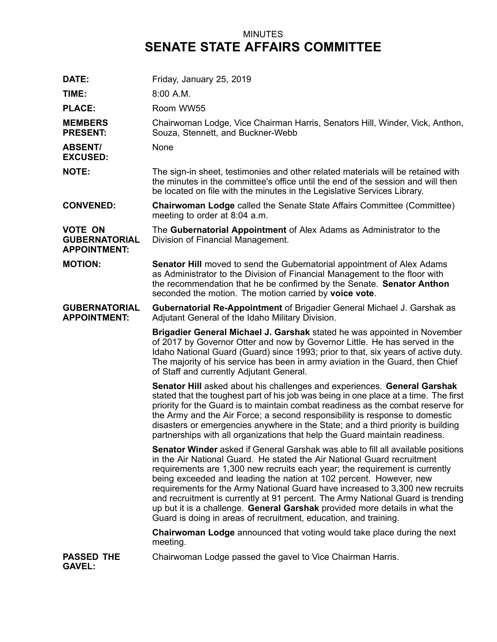## MINUTES **SENATE STATE AFFAIRS COMMITTEE**

| DATE:                                                         | Friday, January 25, 2019                                                                                                                                                                                                                                                                                                                                                                                                                                                                                                                                                                                                                       |
|---------------------------------------------------------------|------------------------------------------------------------------------------------------------------------------------------------------------------------------------------------------------------------------------------------------------------------------------------------------------------------------------------------------------------------------------------------------------------------------------------------------------------------------------------------------------------------------------------------------------------------------------------------------------------------------------------------------------|
| TIME:                                                         | $8:00$ A.M.                                                                                                                                                                                                                                                                                                                                                                                                                                                                                                                                                                                                                                    |
| <b>PLACE:</b>                                                 | Room WW55                                                                                                                                                                                                                                                                                                                                                                                                                                                                                                                                                                                                                                      |
| <b>MEMBERS</b><br><b>PRESENT:</b>                             | Chairwoman Lodge, Vice Chairman Harris, Senators Hill, Winder, Vick, Anthon,<br>Souza, Stennett, and Buckner-Webb                                                                                                                                                                                                                                                                                                                                                                                                                                                                                                                              |
| <b>ABSENT/</b><br><b>EXCUSED:</b>                             | None                                                                                                                                                                                                                                                                                                                                                                                                                                                                                                                                                                                                                                           |
| <b>NOTE:</b>                                                  | The sign-in sheet, testimonies and other related materials will be retained with<br>the minutes in the committee's office until the end of the session and will then<br>be located on file with the minutes in the Legislative Services Library.                                                                                                                                                                                                                                                                                                                                                                                               |
| <b>CONVENED:</b>                                              | <b>Chairwoman Lodge called the Senate State Affairs Committee (Committee)</b><br>meeting to order at 8:04 a.m.                                                                                                                                                                                                                                                                                                                                                                                                                                                                                                                                 |
| <b>VOTE ON</b><br><b>GUBERNATORIAL</b><br><b>APPOINTMENT:</b> | The Gubernatorial Appointment of Alex Adams as Administrator to the<br>Division of Financial Management.                                                                                                                                                                                                                                                                                                                                                                                                                                                                                                                                       |
| <b>MOTION:</b>                                                | <b>Senator Hill</b> moved to send the Gubernatorial appointment of Alex Adams<br>as Administrator to the Division of Financial Management to the floor with<br>the recommendation that he be confirmed by the Senate. Senator Anthon<br>seconded the motion. The motion carried by voice vote.                                                                                                                                                                                                                                                                                                                                                 |
| <b>GUBERNATORIAL</b><br><b>APPOINTMENT:</b>                   | <b>Gubernatorial Re-Appointment of Brigadier General Michael J. Garshak as</b><br>Adjutant General of the Idaho Military Division.                                                                                                                                                                                                                                                                                                                                                                                                                                                                                                             |
|                                                               | Brigadier General Michael J. Garshak stated he was appointed in November<br>of 2017 by Governor Otter and now by Governor Little. He has served in the<br>Idaho National Guard (Guard) since 1993; prior to that, six years of active duty.<br>The majority of his service has been in army aviation in the Guard, then Chief<br>of Staff and currently Adjutant General.                                                                                                                                                                                                                                                                      |
|                                                               | Senator Hill asked about his challenges and experiences. General Garshak<br>stated that the toughest part of his job was being in one place at a time. The first<br>priority for the Guard is to maintain combat readiness as the combat reserve for<br>the Army and the Air Force; a second responsibility is response to domestic<br>disasters or emergencies anywhere in the State; and a third priority is building<br>partnerships with all organizations that help the Guard maintain readiness.                                                                                                                                         |
|                                                               | <b>Senator Winder</b> asked if General Garshak was able to fill all available positions<br>in the Air National Guard. He stated the Air National Guard recruitment<br>requirements are 1,300 new recruits each year; the requirement is currently<br>being exceeded and leading the nation at 102 percent. However, new<br>requirements for the Army National Guard have increased to 3,300 new recruits<br>and recruitment is currently at 91 percent. The Army National Guard is trending<br>up but it is a challenge. General Garshak provided more details in what the<br>Guard is doing in areas of recruitment, education, and training. |
|                                                               | <b>Chairwoman Lodge</b> announced that voting would take place during the next<br>meeting.                                                                                                                                                                                                                                                                                                                                                                                                                                                                                                                                                     |
| <b>PASSED THE</b><br><b>GAVEL:</b>                            | Chairwoman Lodge passed the gavel to Vice Chairman Harris.                                                                                                                                                                                                                                                                                                                                                                                                                                                                                                                                                                                     |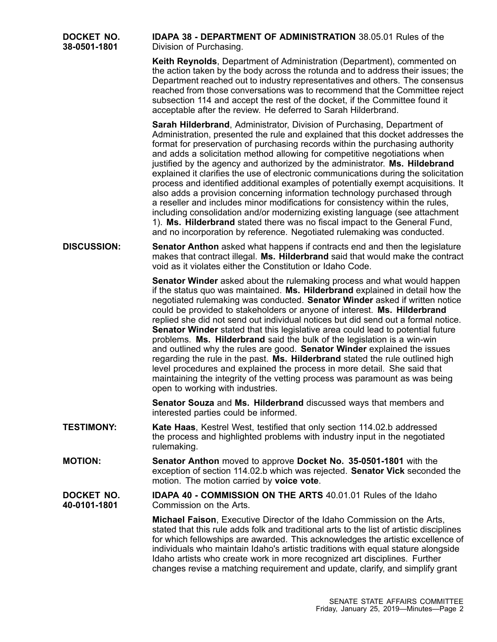| DOCKET NO.<br>38-0501-1801 | <b>IDAPA 38 - DEPARTMENT OF ADMINISTRATION 38.05.01 Rules of the</b><br>Division of Purchasing.                                                                                                                                                                                                                                                                                                                                                                                                                                                                                                                                                                                                                                                                                                                                                                                                                                                                                            |
|----------------------------|--------------------------------------------------------------------------------------------------------------------------------------------------------------------------------------------------------------------------------------------------------------------------------------------------------------------------------------------------------------------------------------------------------------------------------------------------------------------------------------------------------------------------------------------------------------------------------------------------------------------------------------------------------------------------------------------------------------------------------------------------------------------------------------------------------------------------------------------------------------------------------------------------------------------------------------------------------------------------------------------|
|                            | Keith Reynolds, Department of Administration (Department), commented on<br>the action taken by the body across the rotunda and to address their issues; the<br>Department reached out to industry representatives and others. The consensus<br>reached from those conversations was to recommend that the Committee reject<br>subsection 114 and accept the rest of the docket, if the Committee found it<br>acceptable after the review. He deferred to Sarah Hilderbrand.                                                                                                                                                                                                                                                                                                                                                                                                                                                                                                                |
|                            | Sarah Hilderbrand, Administrator, Division of Purchasing, Department of<br>Administration, presented the rule and explained that this docket addresses the<br>format for preservation of purchasing records within the purchasing authority<br>and adds a solicitation method allowing for competitive negotiations when<br>justified by the agency and authorized by the administrator. Ms. Hildebrand<br>explained it clarifies the use of electronic communications during the solicitation<br>process and identified additional examples of potentially exempt acquisitions. It<br>also adds a provision concerning information technology purchased through<br>a reseller and includes minor modifications for consistency within the rules,<br>including consolidation and/or modernizing existing language (see attachment<br>1). Ms. Hilderbrand stated there was no fiscal impact to the General Fund,<br>and no incorporation by reference. Negotiated rulemaking was conducted. |
| <b>DISCUSSION:</b>         | <b>Senator Anthon</b> asked what happens if contracts end and then the legislature<br>makes that contract illegal. Ms. Hilderbrand said that would make the contract<br>void as it violates either the Constitution or Idaho Code.                                                                                                                                                                                                                                                                                                                                                                                                                                                                                                                                                                                                                                                                                                                                                         |
|                            | Senator Winder asked about the rulemaking process and what would happen<br>if the status quo was maintained. Ms. Hilderbrand explained in detail how the<br>negotiated rulemaking was conducted. Senator Winder asked if written notice<br>could be provided to stakeholders or anyone of interest. Ms. Hilderbrand<br>replied she did not send out individual notices but did send out a formal notice.<br><b>Senator Winder</b> stated that this legislative area could lead to potential future<br>problems. Ms. Hilderbrand said the bulk of the legislation is a win-win<br>and outlined why the rules are good. Senator Winder explained the issues<br>regarding the rule in the past. Ms. Hilderbrand stated the rule outlined high<br>level procedures and explained the process in more detail. She said that<br>maintaining the integrity of the vetting process was paramount as was being<br>open to working with industries.                                                  |
|                            | Senator Souza and Ms. Hilderbrand discussed ways that members and<br>interested parties could be informed.                                                                                                                                                                                                                                                                                                                                                                                                                                                                                                                                                                                                                                                                                                                                                                                                                                                                                 |
| <b>TESTIMONY:</b>          | Kate Haas, Kestrel West, testified that only section 114.02.b addressed<br>the process and highlighted problems with industry input in the negotiated<br>rulemaking.                                                                                                                                                                                                                                                                                                                                                                                                                                                                                                                                                                                                                                                                                                                                                                                                                       |
| <b>MOTION:</b>             | Senator Anthon moved to approve Docket No. 35-0501-1801 with the<br>exception of section 114.02.b which was rejected. Senator Vick seconded the<br>motion. The motion carried by voice vote.                                                                                                                                                                                                                                                                                                                                                                                                                                                                                                                                                                                                                                                                                                                                                                                               |
| DOCKET NO.<br>40-0101-1801 | <b>IDAPA 40 - COMMISSION ON THE ARTS 40.01.01 Rules of the Idaho</b><br>Commission on the Arts.                                                                                                                                                                                                                                                                                                                                                                                                                                                                                                                                                                                                                                                                                                                                                                                                                                                                                            |
|                            | <b>Michael Faison, Executive Director of the Idaho Commission on the Arts,</b><br>stated that this rule adds folk and traditional arts to the list of artistic disciplines<br>for which fellowships are awarded. This acknowledges the artistic excellence of<br>individuals who maintain Idaho's artistic traditions with equal stature alongside<br>Idaho artists who create work in more recognized art disciplines. Further<br>changes revise a matching requirement and update, clarify, and simplify grant                                                                                                                                                                                                                                                                                                                                                                                                                                                                           |